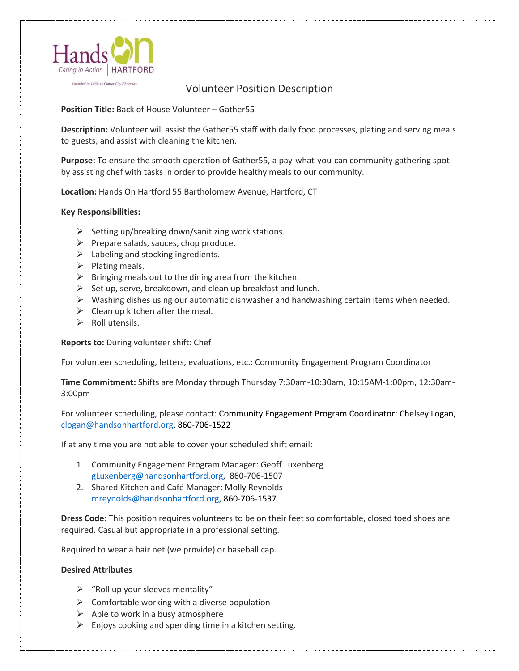

Founded in 1969 as Center City Churches

## Volunteer Position Description

## **Position Title:** Back of House Volunteer – Gather55

**Description:** Volunteer will assist the Gather55 staff with daily food processes, plating and serving meals to guests, and assist with cleaning the kitchen.

**Purpose:** To ensure the smooth operation of Gather55, a pay-what-you-can community gathering spot by assisting chef with tasks in order to provide healthy meals to our community.

**Location:** Hands On Hartford 55 Bartholomew Avenue, Hartford, CT

## **Key Responsibilities:**

- ➢ Setting up/breaking down/sanitizing work stations.
- $\triangleright$  Prepare salads, sauces, chop produce.
- $\triangleright$  Labeling and stocking ingredients.
- $\triangleright$  Plating meals.
- $\triangleright$  Bringing meals out to the dining area from the kitchen.
- $\triangleright$  Set up, serve, breakdown, and clean up breakfast and lunch.
- $\triangleright$  Washing dishes using our automatic dishwasher and handwashing certain items when needed.
- $\triangleright$  Clean up kitchen after the meal.
- $\triangleright$  Roll utensils.

**Reports to:** During volunteer shift: Chef

For volunteer scheduling, letters, evaluations, etc.: Community Engagement Program Coordinator

**Time Commitment:** Shifts are Monday through Thursday 7:30am-10:30am, 10:15AM-1:00pm, 12:30am-3:00pm

For volunteer scheduling, please contact: Community Engagement Program Coordinator: Chelsey Logan, [clogan@handsonhartford.org,](mailto:clogan@handsonhartford.org) 860-706-1522

If at any time you are not able to cover your scheduled shift email:

- 1. Community Engagement Program Manager: Geoff Luxenberg [gLuxenberg@handsonhartford.org,](mailto:gLuxenberg@handsonhartford.org) 860-706-1507
- 2. Shared Kitchen and Café Manager: Molly Reynolds [mreynolds@handsonhartford.org,](mailto:mreynolds@handsonhartford.org) 860-706-1537

**Dress Code:** This position requires volunteers to be on their feet so comfortable, closed toed shoes are required. Casual but appropriate in a professional setting.

Required to wear a hair net (we provide) or baseball cap.

## **Desired Attributes**

- $\triangleright$  "Roll up your sleeves mentality"
- $\triangleright$  Comfortable working with a diverse population
- $\triangleright$  Able to work in a busy atmosphere
- $\triangleright$  Enjoys cooking and spending time in a kitchen setting.